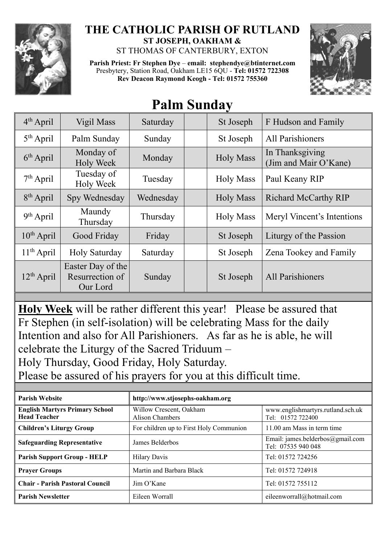

## **THE CATHOLIC PARISH OF RUTLAND ST JOSEPH, OAKHAM &**  ST THOMAS OF CANTERBURY, EXTON

**Parish Priest: Fr Stephen Dye** – **[email: stephendye@btinternet.com](mailto:email:%20%20stephendye@btinternet.com)** Presbytery, Station Road, Oakham LE15 6QU - **Tel: 01572 722308 Rev Deacon Raymond Keogh - Tel: 01572 755360**



## **Palm Sunday**

| $4th$ April     | Vigil Mass                                       | Saturday  | St Joseph        | F Hudson and Family                      |
|-----------------|--------------------------------------------------|-----------|------------------|------------------------------------------|
| $5th$ April     | Palm Sunday                                      | Sunday    | St Joseph        | <b>All Parishioners</b>                  |
| $6th$ April     | Monday of<br><b>Holy Week</b>                    | Monday    | <b>Holy Mass</b> | In Thanksgiving<br>(Jim and Mair O'Kane) |
| $7th$ April     | Tuesday of<br>Holy Week                          | Tuesday   | <b>Holy Mass</b> | Paul Keany RIP                           |
| $8th$ April     | Spy Wednesday                                    | Wednesday | <b>Holy Mass</b> | <b>Richard McCarthy RIP</b>              |
| $9th$ April     | Maundy<br>Thursday                               | Thursday  | <b>Holy Mass</b> | Meryl Vincent's Intentions               |
| $10^{th}$ April | Good Friday                                      | Friday    | St Joseph        | Liturgy of the Passion                   |
| $11th$ April    | <b>Holy Saturday</b>                             | Saturday  | St Joseph        | Zena Tookey and Family                   |
| $12th$ April    | Easter Day of the<br>Resurrection of<br>Our Lord | Sunday    | St Joseph        | All Parishioners                         |

**Holy Week** will be rather different this year! Please be assured that Fr Stephen (in self-isolation) will be celebrating Mass for the daily Intention and also for All Parishioners. As far as he is able, he will celebrate the Liturgy of the Sacred Triduum –

Holy Thursday, Good Friday, Holy Saturday.

Please be assured of his prayers for you at this difficult time.

| <b>Parish Website</b>                                        | http://www.stjosephs-oakham.org                   |                                                        |  |  |
|--------------------------------------------------------------|---------------------------------------------------|--------------------------------------------------------|--|--|
| <b>English Martyrs Primary School</b><br><b>Head Teacher</b> | Willow Crescent, Oakham<br><b>Alison Chambers</b> | www.englishmartyrs.rutland.sch.uk<br>Tel: 01572 722400 |  |  |
| <b>Children's Liturgy Group</b>                              | For children up to First Holy Communion           | 11.00 am Mass in term time                             |  |  |
| <b>Safeguarding Representative</b>                           | James Belderbos                                   | Email: james.belderbos@gmail.com<br>Tel: 07535 940 048 |  |  |
| <b>Parish Support Group - HELP</b>                           | <b>Hilary Davis</b>                               | Tel: 01572 724256                                      |  |  |
| <b>Prayer Groups</b>                                         | Martin and Barbara Black                          | Tel: 01572 724918                                      |  |  |
| <b>Chair - Parish Pastoral Council</b>                       | Jim O'Kane                                        | Tel: 01572 755112                                      |  |  |
| <b>Parish Newsletter</b>                                     | Eileen Worrall                                    | eileenworrall@hotmail.com                              |  |  |